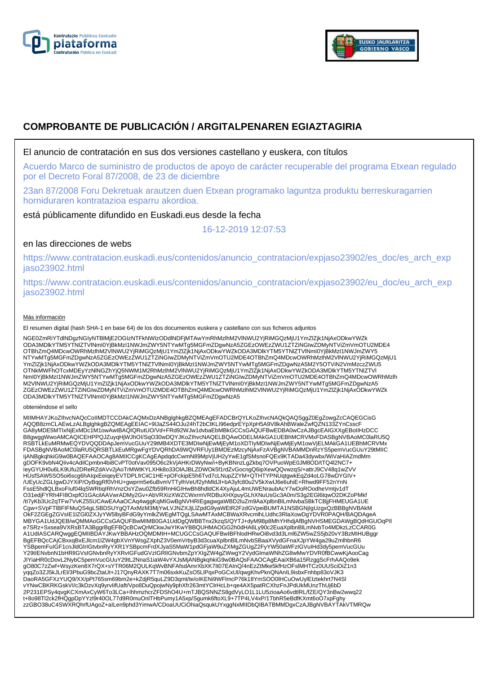



# **COMPROBANTE DE PUBLICACIÓN / ARGITALPENAREN EGIAZTAGIRIA**

El anuncio de contratación en sus dos versiones castellano y euskera, con títulos

Acuerdo Marco de suministro de productos de apoyo de carácter recuperable del programa Etxean regulado por el Decreto Foral 87/2008, de 23 de diciembre

23an 87/2008 Foru Dekretuak arautzen duen Etxean programako laguntza produktu berreskuragarrien horniduraren kontratazioa esparru akordioa.

está públicamente difundido en Euskadi.eus desde la fecha

16-12-2019 12:07:53

# en las direcciones de webs

https://www.contratacion.euskadi.eus/contenidos/anuncio\_contratacion/expjaso23902/es\_doc/es\_arch\_exp jaso23902.html

https://www.contratacion.euskadi.eus/contenidos/anuncio\_contratacion/expjaso23902/eu\_doc/eu\_arch\_exp jaso23902.html

### Más información

El resumen digital (hash SHA-1 en base 64) de los dos documentos euskera y castellano con sus ficheros adjuntos

NGE0ZmRiYTdlNDgzNGIyNTBlMjE2OGIzNTFkNWIzODdlNDFjMTAwYmRhMzlhM2VlNWU2YjRiMGQzMjU1YmZlZjk1NjAxODkwYWZk ODA3MDlkYTM5YTNlZTVlNmI0YjBkMzI1NWJmZWY5NTYwMTg5MGFmZDgwNzA5ZGEzOWEzZWU1ZTZiNGIwZDMyNTViZmVmOTU2MDE4 OTBhZmQ4MDcwOWRhMzlhM2VlNWU2YjRiMGQzMjU1YmZlZjk1NjAxODkwYWZkODA3MDlkYTM5YTNlZTVlNml0YjBkMzI1NWJmZWY5<br>NTYwMTg5MGFmZDgwNzA5ZGEzOWEzZWU1ZTZiNGIwZDMyNTViZmVmOTU2MDE4OTBhZmQ4MDcwOWRhMzlhM2VlNWU2YjRiMGQzMjU1 YmZlZjk1NjAxODkwYWZkODA3MDlkYTM5YTNlZTVlNmI0YjBkMzI1NWJmZWY5NTYwMTg5MGFmZDgwNzA5M2Y5OTViN2VmMzczZWU5 OTNkMWFhOTcxMDEyYzNlNGZhYjQ5NWM1M2RhMzlhM2VlNWU2YjRiMGQzMjU1YmZlZjk1NjAxODkwYWZkODA3MDlkYTM5YTNlZTVl NmI0YjBkMzI1NWJmZWY5NTYwMTg5MGFmZDgwNzA5ZGEzOWEzZWU1ZTZiNGIwZDMyNTViZmVmOTU2MDE4OTBhZmQ4MDcwOWRhMzlh M2VlNWU2YjRiMGQzMjU1YmZlZjk1NjAxODkwYWZkODA3MDlkYTM5YTNlZTVlNmI0YjBkMzI1NWJmZWY5NTYwMTg5MGFmZDgwNzA5 ZGEzOWEzZWU1ZTZiNGIwZDMyNTViZmVmOTU2MDE4OTBhZmQ4MDcwOWRhMzlhM2VlNWU2YjRiMGQzMjU1YmZlZjk1NjAxODkwYWZk ODA3MDlkYTM5YTNlZTVlNmI0YjBkMzI1NWJmZWY5NTYwMTg5MGFmZDgwNzA5

#### obteniéndose el sello

MIIMHAYJKoZIhvcNAQcCoIIMDTCCDAkCAQMxDzANBglghkgBZQMEAgEFADCBrQYLKoZIhvcNAQkQAQSggZ0EgZowgZcCAQEGCisG AQQB8zmCLAEwLzALBglghkgBZQMEAgEEIAC+9lJaZS44OJu24hT2bCtKLI96edprEYpXpH5A9V8kAhBWaleZwfQZN133ZYnCsscF GA8yMDE5MTIxNjExMDc1M1owAwIBAQIQRutUO/Vd+FRd92WJw1dvbaEbMBkGCCsGAQUFBwEDBA0wCzAJBgcEAIGXXgEBoIIHzDCC B8gwggWwoAMCAQICEHPPQJZuyqHjWJhOI/SqO30wDQYJKoZIhvcNAQELBQAwODELMAkGA1UEBhMCRVMxFDASBgNVBAoMC0laRU5Q RSBTLkEuMRMwEQYDVQQDDApJemVucGUuY29tMB4XDTE3MDIwNjEwMjEyM1oXDTIyMDIwNjEwMjEyM1owVjELMAkGA1UEBhMCRVMx FDASBgNVBAoMC0laRU5QRSBTLkEuMRgwFgYDVQRhDA9WQVRFUy1BMDEzMzcyNjAxFzAVBgNVBAMMDnRzYS5pemVucGUuY29tMIIC IjANBgkqhkiG9w0BAQEFAAOCAg8AMIICCgKCAgEApdqdcCwmN89MpVjUH2yYwE1gfSMsnoFQEx9KTADa43dywbx/WiVaHIAZmdMm gDOFK9vbN4QIiv4cAdilCpmbn4bi8CvPT0otVav095O6c2kVjAHKrDWyNw/i+ByKBNnzLgZkbq7OVPuoWpE0JM8OD/tTQ4l2NC7+ IeyGYUH0u6LK9Ufu2DReRZdAVv2jAoTrMWtKYLXHk8o33OlAJBLZDWOk5f1rdZvGocngQ6ipXewQQvwzqS/+attrJ9CV48q1wZVV HUsfSAW5SO5oi6scg6hAIqxEeiqeyEVTDPLfrCiiC1HE+pOFckipE5h6Tvd7cLNupZZYM+QTHTYPNUqtgwkEqZd4oLG78wDYGIV+ /UEyUcZGLIgwDJYXiP/OyBqgRf0VHU+gwprm5e6uBvmVTTylhVeUf2yhMldJl+bA3yfc80u2V5kXwIJ6e6uhiE+Rhwd9FF52nYnN<br>FssE5hdlQLBxoFluf04lqSWRtiqIRhVnzOsYZwu0Zfb59RnHiGIHwBh8hdldCK4XyAjuL4mUWENraubAcY7wDoROodheVmtjv1dT<br>O31edjFYRh4Fl8OxpfO1 /tl7yKb3Uc2qTFw7VvKZ55UCAwEAAaOCAq4wggKqMIGwBgNVHRIEgagwgaWBD2luZm9AaXplbnBlLmNvbaSBkTCBjjFHMEUGA1UE<br>Cgw+SVpFTlBFIFMuQS4gLSBDSUYgQTAxMzM3MjYwLVJNZXJjLlZpdG9yaWEtR2FzdGVpeiBUMTA1NSBGNjIgUzgxQzBBBgNVBAkM OkF2ZGEgZGVsIE1lZGl0ZXJyYW5lbyBFdG9yYmlkZWEgMTQgLSAwMTAxMCBWaXRvcmlhLUdhc3RlaXowDgYDVR0PAQH/BAQDAgeA MBYGA1UdJQEB/wQMMAoGCCsGAQUFBwMIMB0GA1UdDgQWBBTnx2kzqS/QYTJ+dyM9Bp8MhYHhdjAfBgNVHSMEGDAWgBQdHGUOqPIl e7SRz+Sxsea9VXRsBTA3BggrBgEFBQcBCwQrMCkwJwYIKwYBBQUHMAOGG2h0dHA6Ly90c2EuaXplbnBlLmNvbTo4MDkzLzCCAR0G A1UdIASCARQwggEQMIIBDAYJKwYBBAHzOQMDMIH+MCUGCCsGAQUFBwIBFhlodHRwOi8vd3d3Lml6ZW5wZS5jb20vY3BzMIHUBggr BgEFBQcCAjCBxxqBxEJlcm1lZW4gbXVnYWsgZXphZ3V0emVrbyB3d3cuaXplbnBlLmNvbSBaaXVydGFnaXJpYW4ga29uZmlhbnR6<br>YSBpemFuIGF1cnJldGlrIGtvbnRyYXR1YSBpcmFrdXJyaS5MaW1pdGFjaW9uZXMgZGUgZ2FyYW50aWFzIGVuIHd3dy5pemVucGUu Y29tIENvbnN1bHRIIGVsIGNvbnRyYXRvIGFudGVzIGRIIGNvbmZpYXIgZW4gZWwgY2VydGlmaWNhZG8wMwYDVR0fBCwwKjAooCag<br>JIYiaHR0cDovL2NybC5pemVucGUuY29tL2NnaS1iaW4vYXJsMjANBgkqhkiG9w0BAQsFAAOCAgEAaiXB6a15RzggScFrhAAQo9ek gO80C7zZwf+WsyzKen8X7rQX+sYTR06M2QULKqWvBNFAfsdAmrXbXK7It07EAInQ/4nEzZtMke5kfHzOFslMHTCz0UUSciDiZ1n3 yqqZo3ZJ5kJLrEl/3PbuG9bcZtaUt+J17QnyRAXK7T7m06sxkKuZsO5LlPqxPoGCxUl/qwgKhvPknQNAnIL9isbxFnhbp83oVJK3 DaoRA5GFXzYUQ9/XX/pPt765sm69bm2e+kZdjR5quLZ9D3qmt/te/oIKENi9WFlmcP76k18YmSOO0lHCuOwUylEIztekhrt7N4Sl vYNwCBKRKGskVI/c3kDzvXq9yrvIifUaft/Vpo8DuQpojwNy9phXfr263mtYClrHcLb+qe4AX5patRCXhzFnJPdUkMUnzThUj6bD 2P231EPSy4qvgKCXmAxCyW6To3LCa+IhhmzhcrZFDShO4U+mTJBQSNNZS8gdVyLO1L1LU5zioaAo6vdtlRL/fZE/QY3nBw2wwq22 t+8o98Tl2ck2fHQgpDpYYzl9r40OL77d9R0muOnlTHbPumy1A5xp/Sgumk6ftoXL9+7TP4LV4xP/1TbhR5eBdfKXmt6oO7xpFghy zzGBO38uC4SWXRQhrfUAgoZ+aILen9phd3YimwA/CDoaUUCiOhiaQsqukUYxggNxMIIDbQIBATBMMDgxCzAJBgNVBAYTAkVTMRQw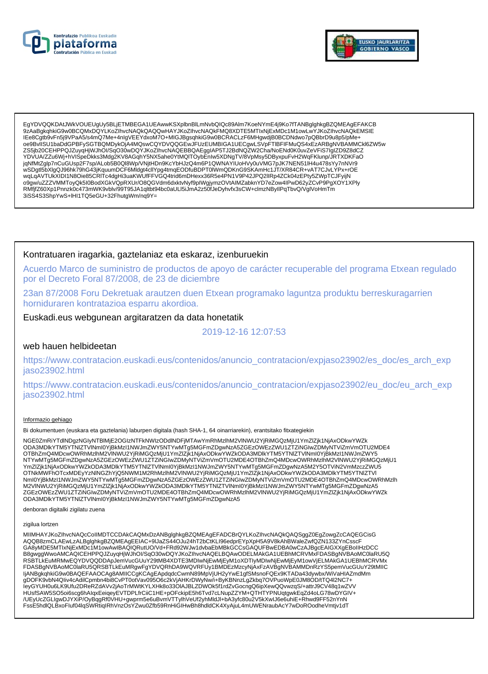



EgYDVQQKDAtJWkVOUEUgUy5BLjETMBEGA1UEAwwKSXplbnBlLmNvbQlQc89Alm7KoeNYmE4j9Ko7fTANBglghkgBZQMEAgEFAKCB 9zAaBqkqhkiG9w0BCQMxDQYLKoZIhvcNAQkQAQQwHAYJKoZIhvcNAQkFMQ8XDTE5MTIxNjExMDc1M1owLwYJKoZIhvcNAQkEMSIE IEe8Cgtb9vFn5j9VPaA5/s4mQ7Me+4nIgVEEYdxoM7O+MIGJBgsqhkiG9w0BCRACLzF6MHgwdjB0BCDNdwo7pQBbrD9u8p5/pMe+ oe9BvIISU1baDdGPBFySGTBQMDykOjA4MQswCQYDVQQGEwJFUzEUMBIGA1UECgwLSVpFTIBFIFMuQS4xEzARBgNVBAMMCkl6ZW5w ZS5jb20CEHPPQJZuyqHjWJhOI/SqO30wDQYJKoZIhvcNAQEBBQAEggIAP5TJ2BdNQZW2Cha/NoENd0K0uvZeVFiS7IgIZD9Z8dCZ YDVUA/ZZu6Wj+hVISpeDkks3Mdg2KV8AGqhY5NX5ahe0YtMQlTOybEnIw5XDNgTV/8VpMsy5DByxpuFvH2WqFKlunp/JRTXDKFaO jqNfMtZglp7nCuGUsp2F7sp/ALob5B0Ql8Wp/VNjtHDn9KcYbHJzQ4m6P1QWNAYIUoHVy0uVMG7pJK7NEN51lH4u478sYy7nNVr9<br>wSDgtl5bXlgQJ96hk79hG43jKquumDCF6Mldgt4cllYpg4tmqEODfuBDPT0lWmQDKnG9SKAmHc1JT/XR84CR+vAT7CJvLYPx+rOE wabuyaka zincenta zincenta za miasta za kontroli za zamielne za zamielne za zamielne za zamielne za zamielne z<br>https://www.accommunity.com/www.accommunity.com/www.accommunity/www.accommunity/www.accommunity/www.accommunit<br> RMfjfZ60Xp1Pnnzk0c473mWK9vblv/99T95JA1qltbt94bc0aULl5iJmA2z50fJeDyhvfx3sCW+clmzNByIlPqTbvQ/VglVoHmTm 3iSS4S3ShpYwS+IHI1TQ5eGU+32FhutgWm/nq9Y=

## Kontratuaren iragarkia, gaztelaniaz eta eskaraz, izenburuekin

Acuerdo Marco de suministro de productos de apoyo de carácter recuperable del programa Etxean regulado por el Decreto Foral 87/2008, de 23 de diciembre

23an 87/2008 Foru Dekretuak arautzen duen Etxean programako laguntza produktu berreskuragarrien horniduraren kontratazioa esparru akordioa.

Euskadi.eus webgunean argitaratzen da data honetatik

2019-12-16 12:07:53

### web hauen helbideetan

https://www.contratacion.euskadi.eus/contenidos/anuncio\_contratacion/expjaso23902/es\_doc/es\_arch\_exp jaso23902.html

https://www.contratacion.euskadi.eus/contenidos/anuncio\_contratacion/expjaso23902/eu\_doc/eu\_arch\_exp jaso23902.html

#### Informazio gehiago

Bi dokumentuen (euskara eta gaztelania) laburpen digitala (hash SHA-1, 64 oinarriarekin), erantsitako fitxategiekin

NGE0ZmRiYTdlNDqzNGlyNTBlMjE2OGIzNTFkNWIzODdlNDFjMTAwYmRhMzlhM2VINWU2YjRiMGQzMjU1YmZlZjk1NjAxODkwYWZk ODA3MDIkYTM5YTNIZTVINmI0YjBkMzI1NWJmZWY5NTYwMTg5MGFmZDgwNzA5ZGEzOWEzZWU1ZTZiNGIwZDMyNTViZmVmOTU2MDE4 OTBhZmQ4MDcwOWRhMzlhM2VINWU2YjRiMGQzMjU1YmZlZjk1NjAxODkwYWZkODA3MDlkYTM5YTNIZTVINmI0YjBkMzI1NWJmZWY5 NTYwMTg5MGFmZDgwNzA5ZGEzOWEzZWU1ZTZiŃGIwZDMyNTViZmVmOTU2MDE4OTBhZmQ4MDcwOWRhMzIhM2VINWU2YjRiMGQzMjU1 YmZlZjk1NjAxODkwYWZkODA3MDlkYTM5YTNlZTVlNml0YjBkMzl1NWJmZWY5NTYwMTg5MGFmZDgwNzA5M2Y5OTViN2VmMzczZWU5 TRIKIMPAOOSWITTYINEN TIIVITTIINEN JANUARINI VANHAA VIITIINEN VANHAA VANHAA VANHAA VANHAA VANHAA VANHAA VANHAA<br>NEID TRIKIMPAOTOXMDEYYZNINGZhYjQ5NWM1M2RhMzIhM2VINWU2YjRiMGQzMjU1YmZIZjk1NjAxODkwYWZkODA3MDIkYTM5YTNIZTVI<br>Nml0Yj ODA3MDIkYTM5YTNIZTVINmI0YjBkMzI1NWJmZWY5NTYwMTg5MGFmZDgwNzA5

denboran digitalki zigilatu zuena

#### zigilua lortzen

MIIMHAYJKoZIhvcNAQcCoIIMDTCCDAkCAQMxDzANBglghkgBZQMEAgEFADCBrQYLKoZIhvcNAQkQAQSggZ0EgZowgZcCAQEGCisG AQQB8zmCLAEwLzALBglghkgBZQMEAgEEIAC+9IJaZS44OJu24hT2bCtKLI96edprEYpXpH5A9V8kAhBWaleZwfQZN133ZYnCsscF GA8yMDE5MTIxNjExMDc1M1owAwIBAQIQRutUO/Vd+FRd92WJw1dvbaEbMBkGCCsGAQUFBwEDBA0wCzAJBgcEAIGXXgEBoIIHzDCC B8gwggWwoAMCAQICEHPPQJZuyqHjWJhOI/SqO30wDQYJKoZIhvcNAQELBQAwODELMAkGA1UEBhMCRVMxFDASBgNVBAoMC0laRU5Q RSBTLKEuMRMwEQYDVQQDDApJemVucGUuY29tMB4XDTE3MDlwNjEwMjEyM1oXDTIyMDlwNjEwMjEyM1owVjELMAkGA1UEBhMCRVMx<br>FDASBgNVBAoMC0laRU5QRSBTLkEuMRgwFgYDVQRhDA9WQVRFUy1BMDEzMzcyNjAxFzAVBgNVBAMMDnRzYS5pemVucGUuY29tMIIC IjANBgkghkiG9w0BAQEFAAOCAg8AMIICCgKCAgEApdgdcCwmN89MpVjUH2yYwE1gfSMsnoFQEx9KTADa43dywbx/WiVaHIAZmdMm gDOFK9vbN4Qliv4cAdilCpmbn4bi8CvPT0otVav095O6c2kVjAHKrDWyNw/i+ByKBNnzLgZkbq7OVPuoWpE0JM8OD/tTQ4l2NC7+ leyGYUH0u6LK9Ufu2DReRZdAVv2jAoTrMWtKYLXHk8o33OIAJBLZDWOk5f1rdZvGocngQ6ipXewQQvwzqS/+attrJ9CV48q1wZVV HUsfSAW5SO5oi6scg6hAlqxEeiqeyEVTDPLfrCiiC1HE+pOFckipE5h6Tvd7cLNupZZYM+QTHTYPNUqtgwkEqZd4oLG78wDYGIV+ /UEyUcZGLIgwDJYXiP/OyBqgRf0VHU+gwprm5e6uBvmVTTylhVeUf2yhMldJl+bA3yfc80u2V5kXwlJ6e6uhiE+Rhwd9FF52nYnN FssE5hdlQLBxoFluf04lqSWRtiqIRhVnzOsYZwu0Zfb59RnHiGIHwBh8hdldCK4XyAjuL4mUWENraubAcY7wDoROodheVmtjv1dT